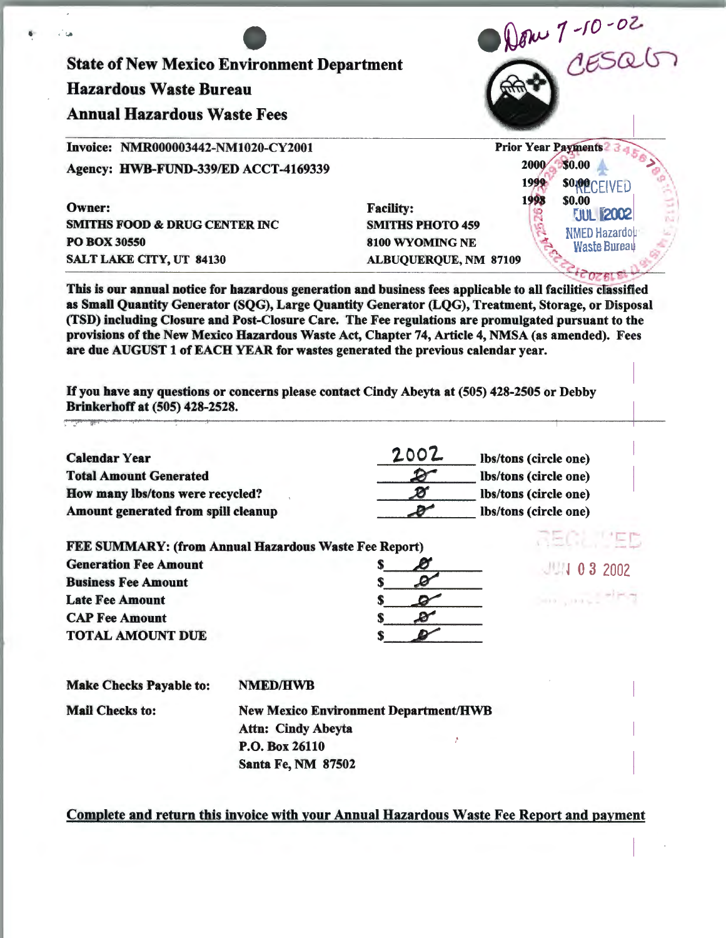| Dow 7-10-02<br><b>Hazardous Waste Bureau</b><br><b>Annual Hazardous Waste Fees</b><br><b>Prior Year Payments?</b><br>Invoice: NMR000003442-NM1020-CY2001<br>2000<br>Agency: HWB-FUND-339/ED ACCT-4169339<br>$1999 -$<br>1998<br>Owner:<br><b>Facility:</b><br><b>SMITHS FOOD &amp; DRUG CENTER INC</b><br><b>SMITHS PHOTO 459</b><br><b>PO BOX 30550</b><br>8100 WYOMING NE | \$0.00<br><b>SOPPCEIVED</b>       |
|-----------------------------------------------------------------------------------------------------------------------------------------------------------------------------------------------------------------------------------------------------------------------------------------------------------------------------------------------------------------------------|-----------------------------------|
|                                                                                                                                                                                                                                                                                                                                                                             |                                   |
|                                                                                                                                                                                                                                                                                                                                                                             |                                   |
|                                                                                                                                                                                                                                                                                                                                                                             |                                   |
|                                                                                                                                                                                                                                                                                                                                                                             |                                   |
|                                                                                                                                                                                                                                                                                                                                                                             | \$0.00                            |
|                                                                                                                                                                                                                                                                                                                                                                             | <b>JUL 2002</b>                   |
|                                                                                                                                                                                                                                                                                                                                                                             | NMED Hazardou                     |
| <b>SALT LAKE CITY, UT 84130</b><br><b>ALBUQUERQUE, NM 87109</b>                                                                                                                                                                                                                                                                                                             | <b>Waste Bureau</b>               |
| If you have any questions or concerns please contact Cindy Abeyta at (505) 428-2505 or Debby<br>Brinkerhoff at (505) 428-2528.                                                                                                                                                                                                                                              |                                   |
| 2002<br><b>Calendar Year</b><br>Ibs/tons (circle one)                                                                                                                                                                                                                                                                                                                       |                                   |
| <b>Total Amount Generated</b><br>Ibs/tons (circle one)                                                                                                                                                                                                                                                                                                                      |                                   |
| Ø<br>How many lbs/tons were recycled?<br>lbs/tons (circle one)                                                                                                                                                                                                                                                                                                              |                                   |
|                                                                                                                                                                                                                                                                                                                                                                             |                                   |
| ď<br>Amount generated from spill cleanup<br>lbs/tons (circle one)                                                                                                                                                                                                                                                                                                           | SHOP TEP                          |
| FEE SUMMARY: (from Annual Hazardous Waste Fee Report)                                                                                                                                                                                                                                                                                                                       |                                   |
| S.                                                                                                                                                                                                                                                                                                                                                                          |                                   |
|                                                                                                                                                                                                                                                                                                                                                                             |                                   |
|                                                                                                                                                                                                                                                                                                                                                                             |                                   |
|                                                                                                                                                                                                                                                                                                                                                                             |                                   |
| <b>Generation Fee Amount</b><br><b>Business Fee Amount</b><br><b>Late Fee Amount</b><br><b>CAP Fee Amount</b><br><b>TOTAL AMOUNT DUE</b>                                                                                                                                                                                                                                    |                                   |
| <b>NMED/HWB</b>                                                                                                                                                                                                                                                                                                                                                             |                                   |
| <b>New Mexico Environment Department/HWB</b>                                                                                                                                                                                                                                                                                                                                | 111032002<br>the control with the |
| <b>Make Checks Payable to:</b><br><b>Mail Checks to:</b><br><b>Attn: Cindy Abeyta</b>                                                                                                                                                                                                                                                                                       |                                   |
| P.O. Box 26110                                                                                                                                                                                                                                                                                                                                                              |                                   |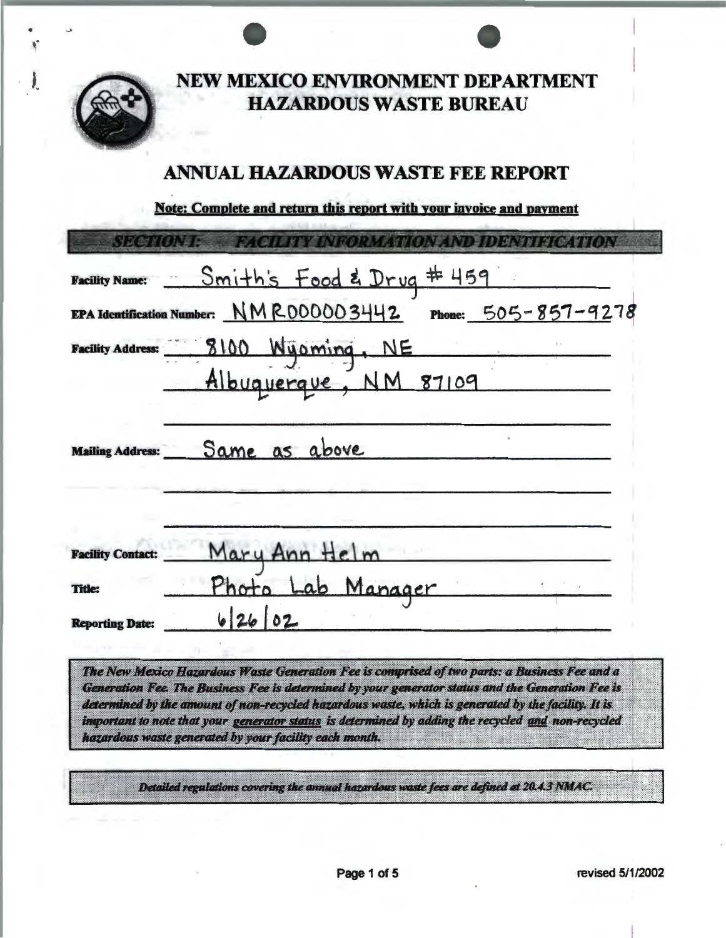

NEW MEXICO ENVIRONMENT DEPARTMENT **HAZARDOUS WASTE BUREAU** 

# **ANNUAL HAZARDOUS WASTE FEE REPORT**

Note: Complete and return this report with your invoice and payment

| <b>SECTION I:</b>        | FACTURY INFORMATION AND IDENTIFICATION                       |
|--------------------------|--------------------------------------------------------------|
|                          | Facility Name: Smith's Food & Drug # 459                     |
|                          | EPA Identification Number: NMR000003442 Phone: 505-857-9278  |
|                          |                                                              |
|                          | Facility Address: 8100 Wijoming, NE<br>Albuquerque, NM 87109 |
| <b>Mailing Address:</b>  | Same as above                                                |
| <b>Facility Contact:</b> |                                                              |
| <b>Title:</b>            | Mary Ann Helm<br>Photo Lab Manager                           |
| <b>Reporting Date:</b>   | 62602                                                        |

The New Mexico Hazardous Waste Generation Fee is comprised of two parts: a Business Fee and a Generation Fee. The Business Fee is determined by your generator status and the Generation Fee is determined by the amount of non-recycled hazardous waste, which is generated by the facility. It is important to note that your generator status is determined by adding the recycled and non-recycled hazardous waste generated by your facility each month.

Detailed regulations covering the annual hazardous waste fees are defined at 20.4.3 NMAC.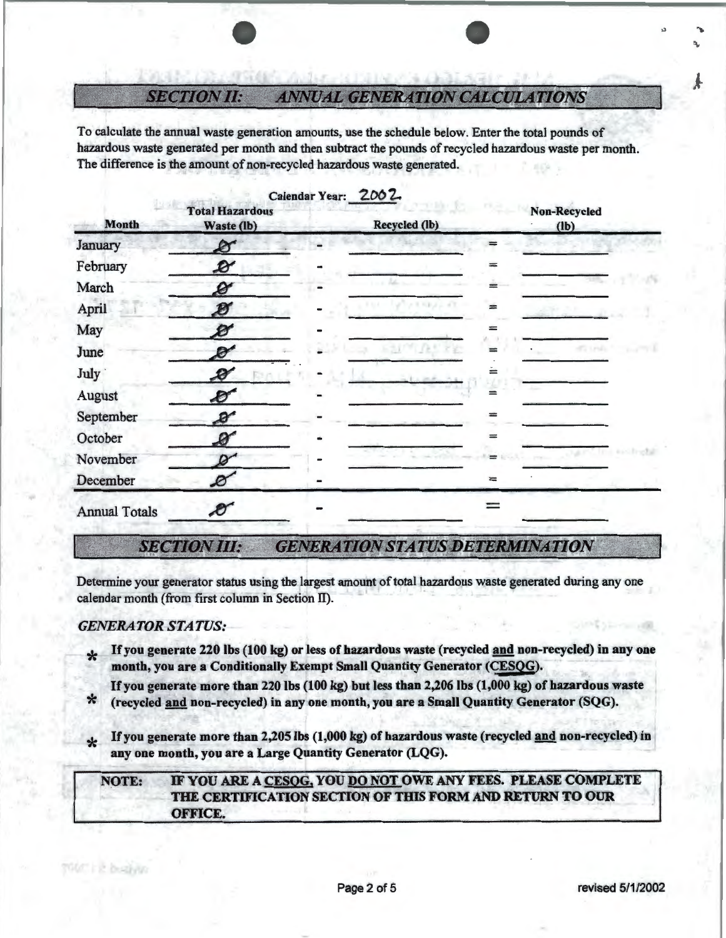#### *SECTION JI:*  **ANNUAL GENERATION CALCULATIONS**

To calculate the annual waste generation amounts, use the schedule below. Enter the total pounds of hazardous waste generated per month and then subtract the pounds of recycled hazardous waste per month. The difference is the amount of non-recycled hazardous waste generated.

| <b>Month</b>         | <b>Total Hazardous</b><br>Waste (lb) | Calendar Year: 2002 | Recycled (lb) |     | <b>Non-Recycled</b><br>$(lb)$ |
|----------------------|--------------------------------------|---------------------|---------------|-----|-------------------------------|
| January              | Ø                                    |                     |               |     |                               |
| February             | $\mathcal{B}'$                       |                     |               |     |                               |
| March                | $\boldsymbol{\mathscr{Q}}$           |                     |               |     |                               |
| April                | Ø                                    |                     |               |     |                               |
| May                  | Б                                    |                     |               |     |                               |
| June                 | Ø                                    |                     |               |     | <b>COLES</b>                  |
| <b>July</b>          | Đ                                    |                     |               | ≕   |                               |
| August               | Ð                                    |                     |               | ≕   |                               |
| September            | $\mathcal{B}^{\prime}$               |                     |               | ≕   |                               |
| October              | 0                                    |                     |               | $=$ |                               |
| November             |                                      |                     |               |     |                               |
| December             | Ø                                    |                     |               | $=$ |                               |
| <b>Annual Totals</b> | $\bm{\mathscr{E}}$                   |                     |               |     |                               |

## **SECTION III: GENERATION STATUS DETERMINATION**

Determine your generator status using the largest amount of total hazardous waste generated during any one calendar month (from first column in Section IT).

### *GENERATOR STATUS:*

**Krist busines** 

- If you generate 220 lbs (100 kg) or less of hazardous waste (recycled and non-recycled) in any one month, you are a Conditionally Exempt Small Quantity Generator (CESQG).
- If you generate more than 220 lbs (100 kg) but less than 2,206 lbs (1,000 kg) of hazardous waste<br>\* (recycled and non-recycled) in any one month, you are a Small Quantity Generator (SQG).
- **If you generate more than 2,205 lbs (1,000 kg) of hazardous waste (recycled and non-recycled) in** any one month, you are a Large Quantity Generator (LQG).

### NOTE: IF YOU ARE A CESOG, YOU DO NOT OWE ANY FEES. PLEASE COMPLETE THE CERTIFICATION SECTION OF THIS FORM AND RETURN TO OUR OFFICE.

..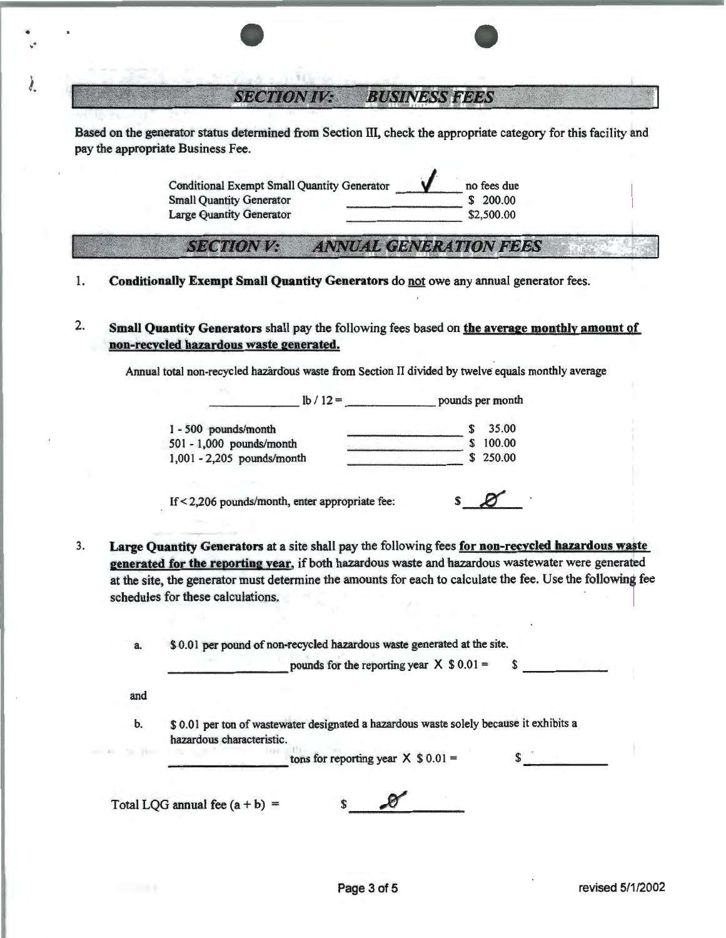### $\textcolor{red}{\textbf{SECTIONIV:}}$  **BUSINESS FEES**

Based on the generator status detennined from Section III, check the appropriate category for this facility and pay the appropriate Business Fee.

> Conditional Exempt Small Quantity Generator **1989** 10 no fees due Small Quantity Generator **1989** 1200.00 Small Quantity Generator Large Quantity Generator \$2,500.00

#### *SECTIONV:* **ANNUAL GENERATION FEES**

- 1. Conditionally Exempt Small Quantity Generators do not owe any annual generator fees.
- 2. Small Quantity Generators shall pay the following fees based on the average monthly amount of non-recycled hazardous waste generated.

Annual total non-recycled hazardous waste from Section II divided by twelve- equals monthly average

 $\ln 12 =$  pounds per month

| 1 - 500 pounds/month       |    | 35.00  |
|----------------------------|----|--------|
| 501 - 1,000 pounds/month   | S. | 100.00 |
| 1,001 - 2,205 pounds/month | S. | 250.00 |
|                            |    |        |

If< 2,206 pounds/month, enter appropriate fee: s RL

3. Large Quantity Generators at a site shall pay the following fees for non-recycled hazardous waste generated for the reporting year, if both hazardous waste and hazardous wastewater were generated at the site, the generator must determine the amounts for each to calculate the fee. Use the following fee schedules for these calculations.

a. \$ 0.01 per pound of non-recycled hazardous waste generated at the site.

pounds for the reporting year  $X$  \$ 0.01 = \$

and

• . ·

!.

b. \$ 0.01 per ton of wastewater designated a hazardous waste solely because it exhibits a hazardous characteristic.

tons for reporting year  $X \$ 0.01 =$  \$  $\$$ 

Total LOG annual fee  $(a + b) =$  \$  $\theta$ 

1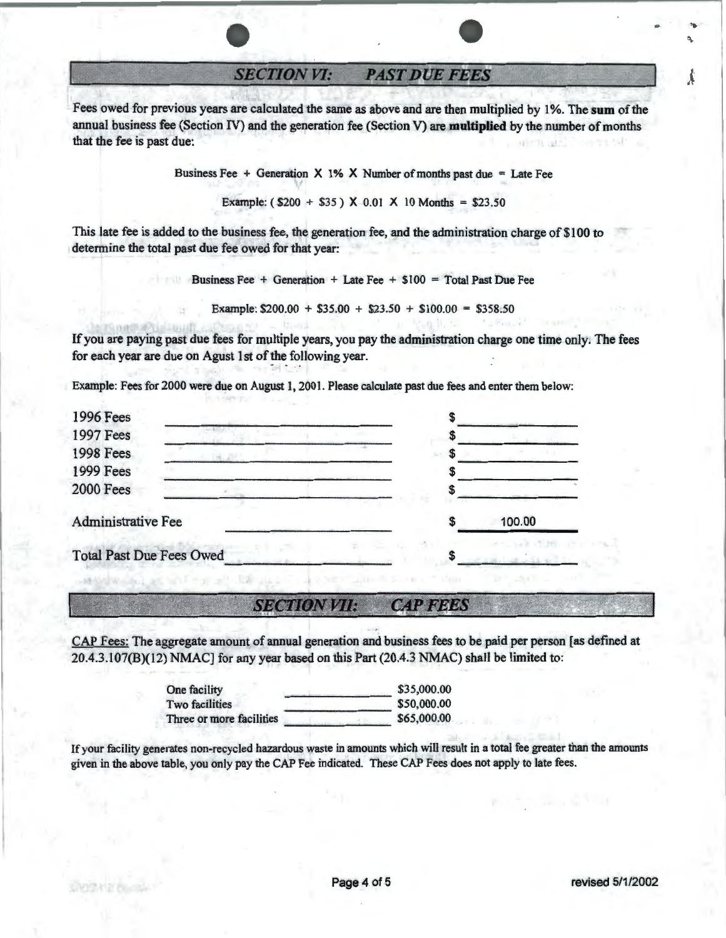**SECTION VI: PAST DUE FEES** 

Fees owed for previous years are calculated the same as above and are then multiplied by I%. The **sum** of the annual business fee (Section IV) and the generation fee (Section V) are **multiplied** by the number of months that the fee is past due:

Business Fee  $+$  Generation X 1% X Number of months past due  $=$  Late Fee

Example: ( $$200 + $35$ ) X 0.01 X 10 Months = \$23.50

This late fee is added to the business fee, the generation fee, and the administration charge of \$100 to determine the total past due fee owed for that year:

Business Fee + Generation + Late Fee + \$100 = Total Past Due Fee

Example:  $$200.00 + $35.00 + $23.50 + $100.00 = $358.50$ 

If you are paying past due fees for multiple years, you pay the administration charge one time only. The fees for each year are due on Agust 1st of the following year.

Example: Fees for 2000 were due on August 1, 2001. Please calculate past due fees and enter them below:

| 1996 Fees                       |  |        |
|---------------------------------|--|--------|
| 1997 Fees                       |  |        |
| <b>1998 Fees</b>                |  |        |
| <b>1999 Fees</b>                |  |        |
| <b>2000 Fees</b>                |  |        |
| Administrative Fee              |  | 100.00 |
| <b>Total Past Due Fees Owed</b> |  |        |

#### **SECTION VII:**  $CAP$ *FEES*

CAP Fees: The aggregate amount of annual generation and business fees to be paid per person [as defined at 20.4.3.107(B)(12) NMAC] for any year based on this Part (20.4.3 NMAC) shall be limited to:

|                          | \$35,000.00 |
|--------------------------|-------------|
| One facility             |             |
| <b>Two facilities</b>    | \$50,000.00 |
| Three or more facilities | \$65,000.00 |

If your facility generates non-recycled hazardous waste in amounts which will result in a total fee greater than the amounts given in the above table, you only pay the CAP Fee indicated. These CAP Fees does not apply to late fees.